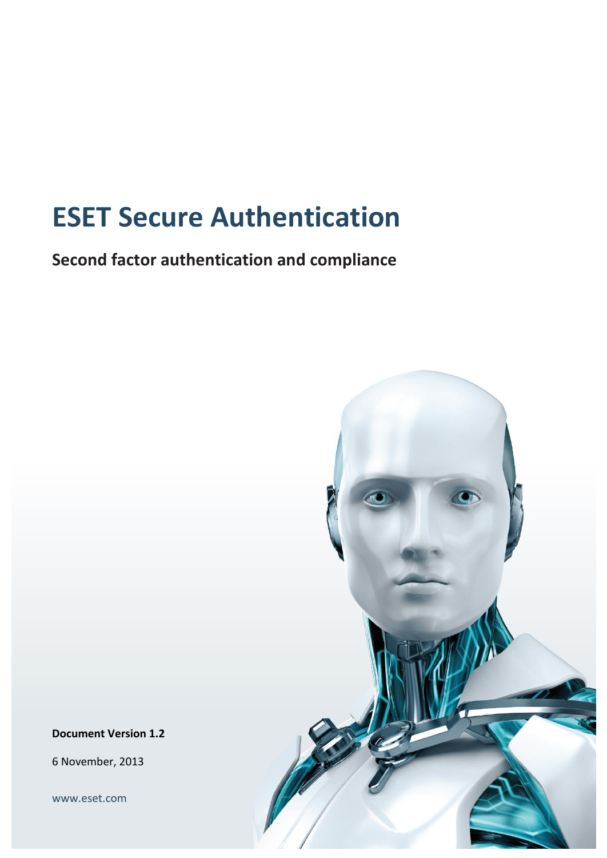# **ESET Secure Authentication**

**Second factor authentication and compliance** 



**Document Version 1.2**

6 November, 2013

[www.eset.com](file:///D:/ESA/www.eset.com)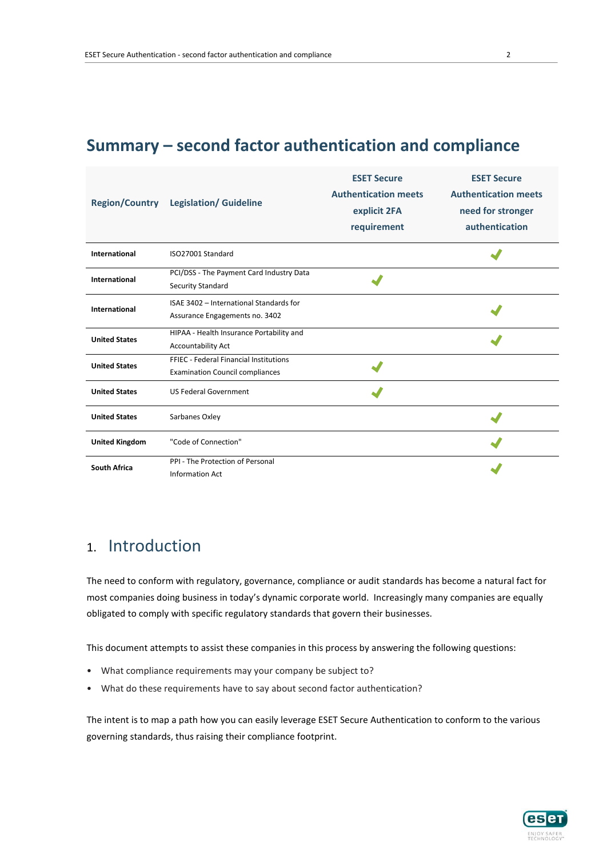# **Summary – second factor authentication and compliance**

|                       | Region/Country Legislation/Guideline                                             | <b>ESET Secure</b><br><b>Authentication meets</b><br>explicit 2FA<br>requirement | <b>ESET Secure</b><br><b>Authentication meets</b><br>need for stronger<br>authentication |
|-----------------------|----------------------------------------------------------------------------------|----------------------------------------------------------------------------------|------------------------------------------------------------------------------------------|
| International         | ISO27001 Standard                                                                |                                                                                  |                                                                                          |
| International         | PCI/DSS - The Payment Card Industry Data<br><b>Security Standard</b>             |                                                                                  |                                                                                          |
| International         | ISAE 3402 - International Standards for<br>Assurance Engagements no. 3402        |                                                                                  |                                                                                          |
| <b>United States</b>  | HIPAA - Health Insurance Portability and<br><b>Accountability Act</b>            |                                                                                  |                                                                                          |
| <b>United States</b>  | FFIEC - Federal Financial Institutions<br><b>Examination Council compliances</b> |                                                                                  |                                                                                          |
| <b>United States</b>  | <b>US Federal Government</b>                                                     |                                                                                  |                                                                                          |
| <b>United States</b>  | Sarbanes Oxley                                                                   |                                                                                  |                                                                                          |
| <b>United Kingdom</b> | "Code of Connection"                                                             |                                                                                  |                                                                                          |
| <b>South Africa</b>   | PPI - The Protection of Personal<br><b>Information Act</b>                       |                                                                                  |                                                                                          |

# 1. Introduction

The need to conform with regulatory, governance, compliance or audit standards has become a natural fact for most companies doing business in today's dynamic corporate world. Increasingly many companies are equally obligated to comply with specific regulatory standards that govern their businesses.

This document attempts to assist these companies in this process by answering the following questions:

- What compliance requirements may your company be subject to?
- What do these requirements have to say about second factor authentication?

The intent is to map a path how you can easily leverage ESET Secure Authentication to conform to the various governing standards, thus raising their compliance footprint.

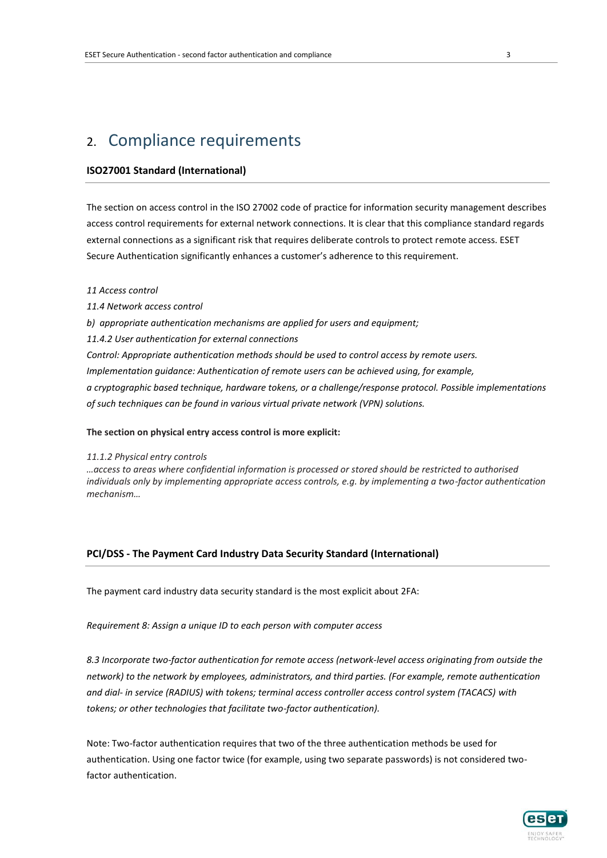# 2. Compliance requirements

## **ISO27001 Standard (International)**

The section on access control in the ISO 27002 code of practice for information security management describes access control requirements for external network connections. It is clear that this compliance standard regards external connections as a significant risk that requires deliberate controls to protect remote access. ESET Secure Authentication significantly enhances a customer's adherence to this requirement.

#### *11 Access control*

*11.4 Network access control b) appropriate authentication mechanisms are applied for users and equipment; 11.4.2 User authentication for external connections Control: Appropriate authentication methods should be used to control access by remote users. Implementation guidance: Authentication of remote users can be achieved using, for example, a cryptographic based technique, hardware tokens, or a challenge/response protocol. Possible implementations of such techniques can be found in various virtual private network (VPN) solutions.* 

### **The section on physical entry access control is more explicit:**

#### *11.1.2 Physical entry controls*

*…access to areas where confidential information is processed or stored should be restricted to authorised individuals only by implementing appropriate access controls, e.g. by implementing a two-factor authentication mechanism…*

# **PCI/DSS - The Payment Card Industry Data Security Standard (International)**

The payment card industry data security standard is the most explicit about 2FA:

*Requirement 8: Assign a unique ID to each person with computer access*

*8.3 Incorporate two-factor authentication for remote access (network-level access originating from outside the network) to the network by employees, administrators, and third parties. (For example, remote authentication and dial- in service (RADIUS) with tokens; terminal access controller access control system (TACACS) with tokens; or other technologies that facilitate two-factor authentication).*

Note: Two-factor authentication requires that two of the three authentication methods be used for authentication. Using one factor twice (for example, using two separate passwords) is not considered twofactor authentication.

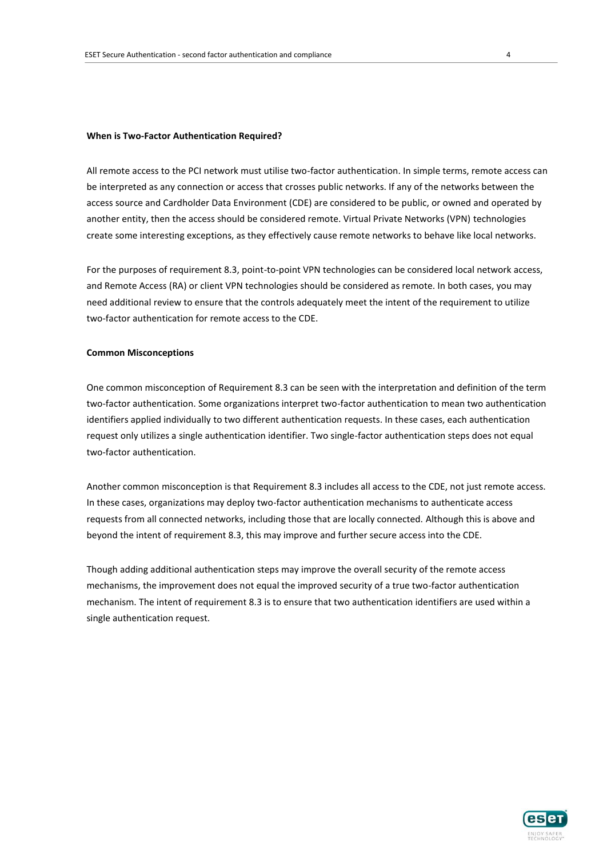#### **When is Two-Factor Authentication Required?**

All remote access to the PCI network must utilise two-factor authentication. In simple terms, remote access can be interpreted as any connection or access that crosses public networks. If any of the networks between the access source and Cardholder Data Environment (CDE) are considered to be public, or owned and operated by another entity, then the access should be considered remote. Virtual Private Networks (VPN) technologies create some interesting exceptions, as they effectively cause remote networks to behave like local networks.

For the purposes of requirement 8.3, point-to-point VPN technologies can be considered local network access, and Remote Access (RA) or client VPN technologies should be considered as remote. In both cases, you may need additional review to ensure that the controls adequately meet the intent of the requirement to utilize two-factor authentication for remote access to the CDE.

#### **Common Misconceptions**

One common misconception of Requirement 8.3 can be seen with the interpretation and definition of the term two-factor authentication. Some organizations interpret two-factor authentication to mean two authentication identifiers applied individually to two different authentication requests. In these cases, each authentication request only utilizes a single authentication identifier. Two single-factor authentication steps does not equal two-factor authentication.

Another common misconception is that Requirement 8.3 includes all access to the CDE, not just remote access. In these cases, organizations may deploy two-factor authentication mechanisms to authenticate access requests from all connected networks, including those that are locally connected. Although this is above and beyond the intent of requirement 8.3, this may improve and further secure access into the CDE.

Though adding additional authentication steps may improve the overall security of the remote access mechanisms, the improvement does not equal the improved security of a true two-factor authentication mechanism. The intent of requirement 8.3 is to ensure that two authentication identifiers are used within a single authentication request.

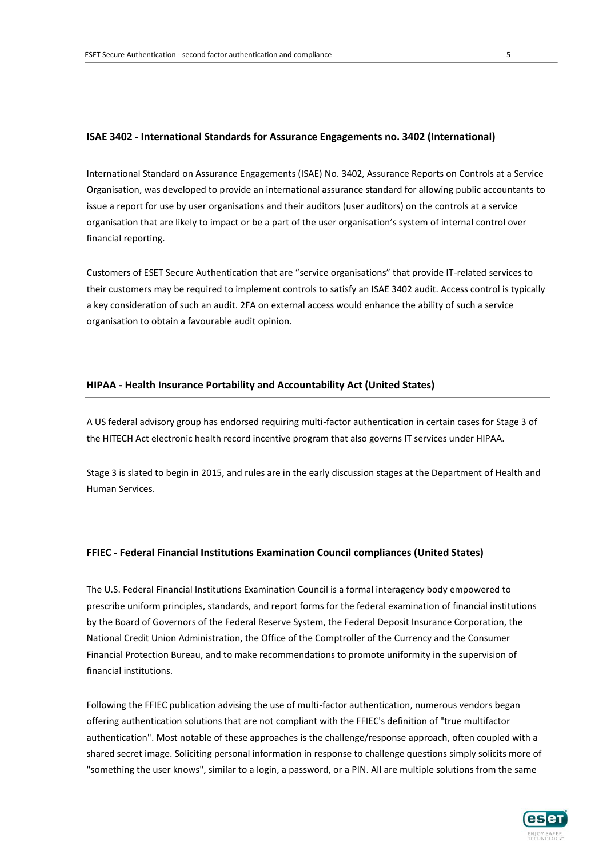#### **ISAE 3402 - International Standards for Assurance Engagements no. 3402 (International)**

International Standard on Assurance Engagements (ISAE) No. 3402, Assurance Reports on Controls at a Service Organisation, was developed to provide an international assurance standard for allowing public accountants to issue a report for use by user organisations and their auditors (user auditors) on the controls at a service organisation that are likely to impact or be a part of the user organisation's system of internal control over financial reporting.

Customers of ESET Secure Authentication that are "service organisations" that provide IT-related services to their customers may be required to implement controls to satisfy an ISAE 3402 audit. Access control is typically a key consideration of such an audit. 2FA on external access would enhance the ability of such a service organisation to obtain a favourable audit opinion.

## **HIPAA - Health Insurance Portability and Accountability Act (United States)**

A US federal advisory group has endorsed requiring multi-factor authentication in certain cases for Stage 3 of the HITECH Act electronic health record incentive program that also governs IT services under HIPAA.

Stage 3 is slated to begin in 2015, and rules are in the early discussion stages at the Department of Health and Human Services.

### **FFIEC - Federal Financial Institutions Examination Council compliances (United States)**

The U.S. Federal Financial Institutions Examination Council is a formal interagency body empowered to prescribe uniform principles, standards, and report forms for the federal examination of financial institutions by the Board of Governors of the Federal Reserve System, the Federal Deposit Insurance Corporation, the National Credit Union Administration, the Office of the Comptroller of the Currency and the Consumer Financial Protection Bureau, and to make recommendations to promote uniformity in the supervision of financial institutions.

Following the FFIEC publication advising the use of multi-factor authentication, numerous vendors began offering authentication solutions that are not compliant with the FFIEC's definition of "true multifactor authentication". Most notable of these approaches is the challenge/response approach, often coupled with a shared secret image. Soliciting personal information in response to challenge questions simply solicits more of "something the user knows", similar to a login, a password, or a PIN. All are multiple solutions from the same

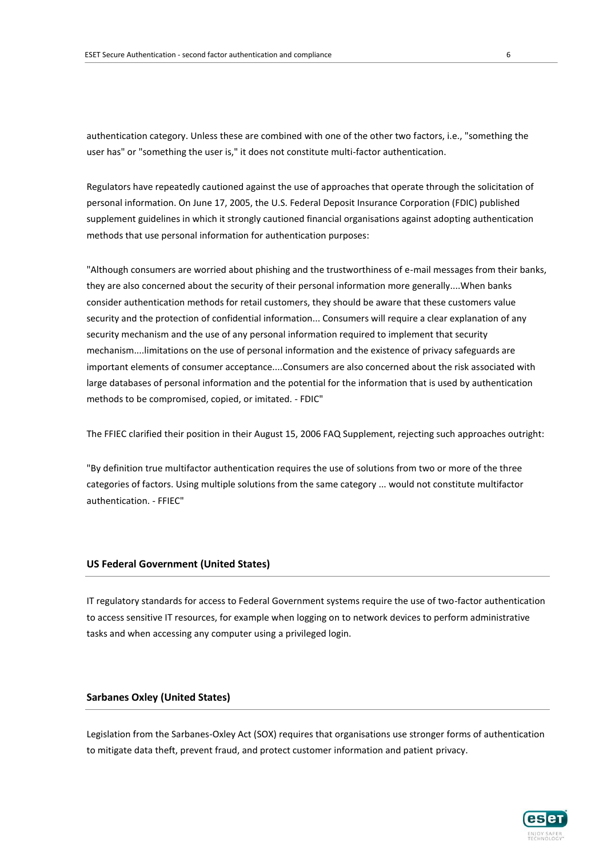authentication category. Unless these are combined with one of the other two factors, i.e., "something the user has" or "something the user is," it does not constitute multi-factor authentication.

Regulators have repeatedly cautioned against the use of approaches that operate through the solicitation of personal information. On June 17, 2005, the U.S. Federal Deposit Insurance Corporation (FDIC) published supplement guidelines in which it strongly cautioned financial organisations against adopting authentication methods that use personal information for authentication purposes:

"Although consumers are worried about phishing and the trustworthiness of e-mail messages from their banks, they are also concerned about the security of their personal information more generally....When banks consider authentication methods for retail customers, they should be aware that these customers value security and the protection of confidential information... Consumers will require a clear explanation of any security mechanism and the use of any personal information required to implement that security mechanism....limitations on the use of personal information and the existence of privacy safeguards are important elements of consumer acceptance....Consumers are also concerned about the risk associated with large databases of personal information and the potential for the information that is used by authentication methods to be compromised, copied, or imitated. - FDIC"

The FFIEC clarified their position in their August 15, 2006 FAQ Supplement, rejecting such approaches outright:

"By definition true multifactor authentication requires the use of solutions from two or more of the three categories of factors. Using multiple solutions from the same category ... would not constitute multifactor authentication. - FFIEC"

# **US Federal Government (United States)**

IT regulatory standards for access to Federal Government systems require the use of two-factor authentication to access sensitive IT resources, for example when logging on to network devices to perform administrative tasks and when accessing any computer using a privileged login.

#### **Sarbanes Oxley (United States)**

Legislation from the Sarbanes-Oxley Act (SOX) requires that organisations use stronger forms of authentication to mitigate data theft, prevent fraud, and protect customer information and patient privacy.